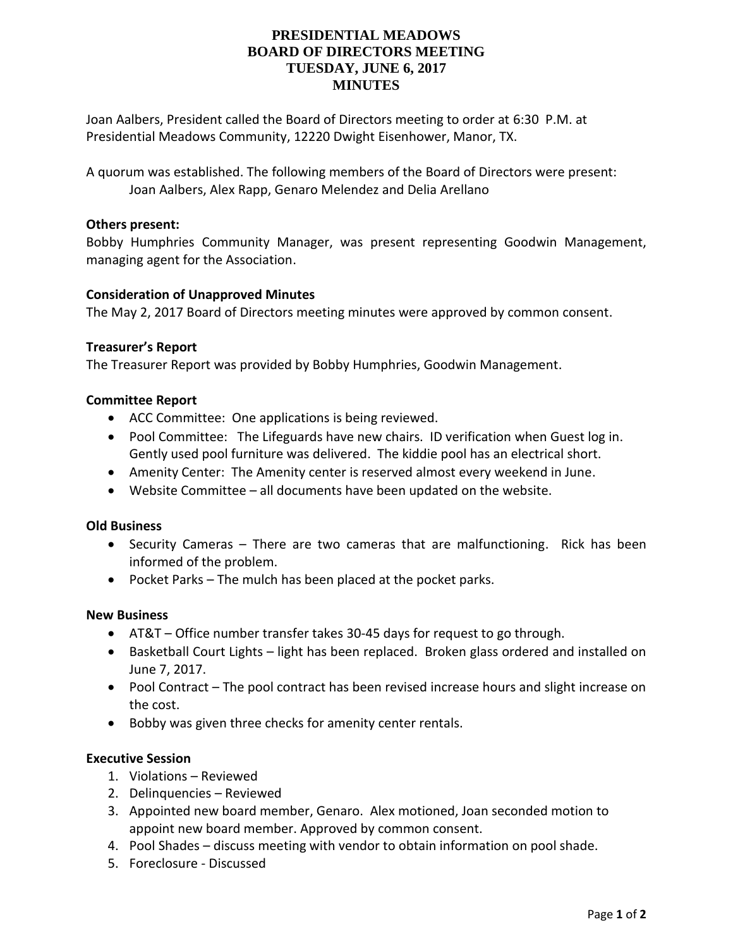# **PRESIDENTIAL MEADOWS BOARD OF DIRECTORS MEETING TUESDAY, JUNE 6, 2017 MINUTES**

Joan Aalbers, President called the Board of Directors meeting to order at 6:30 P.M. at Presidential Meadows Community, 12220 Dwight Eisenhower, Manor, TX.

A quorum was established. The following members of the Board of Directors were present: Joan Aalbers, Alex Rapp, Genaro Melendez and Delia Arellano

## **Others present:**

Bobby Humphries Community Manager, was present representing Goodwin Management, managing agent for the Association.

## **Consideration of Unapproved Minutes**

The May 2, 2017 Board of Directors meeting minutes were approved by common consent.

#### **Treasurer's Report**

The Treasurer Report was provided by Bobby Humphries, Goodwin Management.

## **Committee Report**

- ACC Committee: One applications is being reviewed.
- Pool Committee: The Lifeguards have new chairs. ID verification when Guest log in. Gently used pool furniture was delivered. The kiddie pool has an electrical short.
- Amenity Center: The Amenity center is reserved almost every weekend in June.
- Website Committee all documents have been updated on the website.

#### **Old Business**

- Security Cameras There are two cameras that are malfunctioning. Rick has been informed of the problem.
- Pocket Parks The mulch has been placed at the pocket parks.

#### **New Business**

- AT&T Office number transfer takes 30-45 days for request to go through.
- Basketball Court Lights light has been replaced. Broken glass ordered and installed on June 7, 2017.
- Pool Contract The pool contract has been revised increase hours and slight increase on the cost.
- Bobby was given three checks for amenity center rentals.

#### **Executive Session**

- 1. Violations Reviewed
- 2. Delinquencies Reviewed
- 3. Appointed new board member, Genaro. Alex motioned, Joan seconded motion to appoint new board member. Approved by common consent.
- 4. Pool Shades discuss meeting with vendor to obtain information on pool shade.
- 5. Foreclosure Discussed